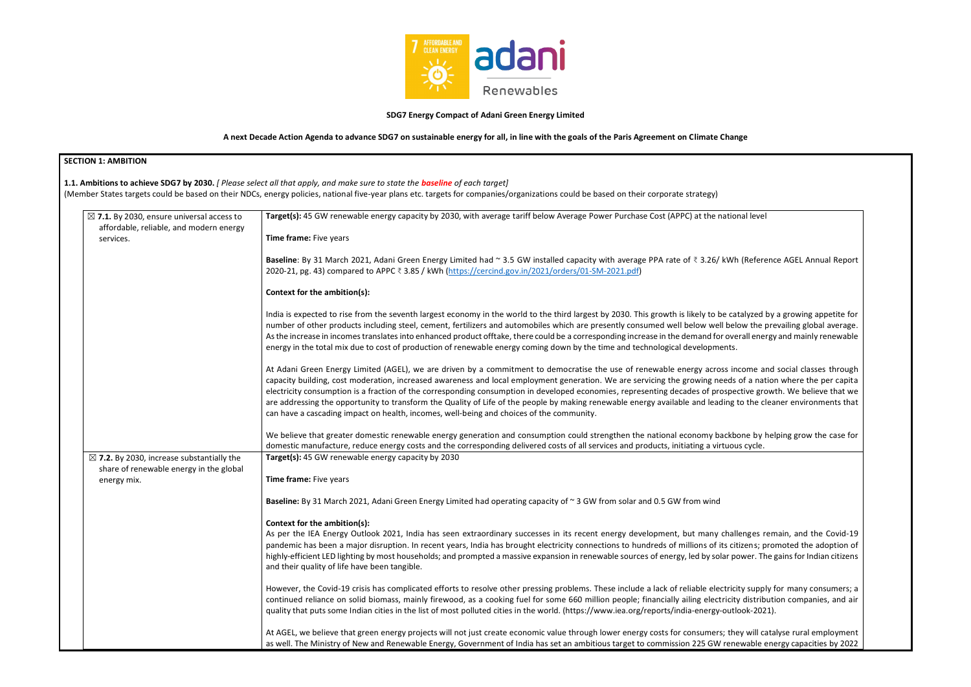

### **SDG7 Energy Compact of Adani Green Energy Limited**

**A next Decade Action Agenda to advance SDG7 on sustainable energy for all, in line with the goals of the Paris Agreement on Climate Change**

| $\boxtimes$ 7.1. By 2030, ensure universal access to                                            | Target(s): 45 GW renewable energy capacity by 2030, with average tariff below Average Power Purchase Cost (APPC) at the national level                                                                                                                                                                                                                                                                                                                                                                                                                                                                                                                                                                                                                  |  |
|-------------------------------------------------------------------------------------------------|---------------------------------------------------------------------------------------------------------------------------------------------------------------------------------------------------------------------------------------------------------------------------------------------------------------------------------------------------------------------------------------------------------------------------------------------------------------------------------------------------------------------------------------------------------------------------------------------------------------------------------------------------------------------------------------------------------------------------------------------------------|--|
| affordable, reliable, and modern energy<br>services.                                            | Time frame: Five years                                                                                                                                                                                                                                                                                                                                                                                                                                                                                                                                                                                                                                                                                                                                  |  |
|                                                                                                 | Baseline: By 31 March 2021, Adani Green Energy Limited had ~ 3.5 GW installed capacity with average PPA rate of ₹ 3.26/ kWh (Reference AGEL Annual Report<br>2020-21, pg. 43) compared to APPC ₹ 3.85 / kWh (https://cercind.gov.in/2021/orders/01-SM-2021.pdf)                                                                                                                                                                                                                                                                                                                                                                                                                                                                                         |  |
|                                                                                                 | Context for the ambition(s):                                                                                                                                                                                                                                                                                                                                                                                                                                                                                                                                                                                                                                                                                                                            |  |
|                                                                                                 | India is expected to rise from the seventh largest economy in the world to the third largest by 2030. This growth is likely to be catalyzed by a growing appetite for<br>number of other products including steel, cement, fertilizers and automobiles which are presently consumed well below well below the prevailing global average.<br>As the increase in incomes translates into enhanced product offtake, there could be a corresponding increase in the demand for overall energy and mainly renewable<br>energy in the total mix due to cost of production of renewable energy coming down by the time and technological developments.                                                                                                         |  |
|                                                                                                 | At Adani Green Energy Limited (AGEL), we are driven by a commitment to democratise the use of renewable energy across income and social classes through<br>capacity building, cost moderation, increased awareness and local employment generation. We are servicing the growing needs of a nation where the per capita<br>electricity consumption is a fraction of the corresponding consumption in developed economies, representing decades of prospective growth. We believe that we<br>are addressing the opportunity to transform the Quality of Life of the people by making renewable energy available and leading to the cleaner environments that<br>can have a cascading impact on health, incomes, well-being and choices of the community. |  |
|                                                                                                 | We believe that greater domestic renewable energy generation and consumption could strengthen the national economy backbone by helping grow the case for<br>domestic manufacture, reduce energy costs and the corresponding delivered costs of all services and products, initiating a virtuous cycle.                                                                                                                                                                                                                                                                                                                                                                                                                                                  |  |
| $\boxtimes$ 7.2. By 2030, increase substantially the<br>share of renewable energy in the global | Target(s): 45 GW renewable energy capacity by 2030                                                                                                                                                                                                                                                                                                                                                                                                                                                                                                                                                                                                                                                                                                      |  |
| energy mix.                                                                                     | Time frame: Five years                                                                                                                                                                                                                                                                                                                                                                                                                                                                                                                                                                                                                                                                                                                                  |  |
|                                                                                                 | Baseline: By 31 March 2021, Adani Green Energy Limited had operating capacity of ~3 GW from solar and 0.5 GW from wind                                                                                                                                                                                                                                                                                                                                                                                                                                                                                                                                                                                                                                  |  |
|                                                                                                 | Context for the ambition(s):<br>As per the IEA Energy Outlook 2021, India has seen extraordinary successes in its recent energy development, but many challenges remain, and the Covid-19<br>pandemic has been a major disruption. In recent years, India has brought electricity connections to hundreds of millions of its citizens; promoted the adoption of<br>highly-efficient LED lighting by most households; and prompted a massive expansion in renewable sources of energy, led by solar power. The gains for Indian citizens<br>and their quality of life have been tangible.                                                                                                                                                                |  |
|                                                                                                 | However, the Covid-19 crisis has complicated efforts to resolve other pressing problems. These include a lack of reliable electricity supply for many consumers; a<br>continued reliance on solid biomass, mainly firewood, as a cooking fuel for some 660 million people; financially ailing electricity distribution companies, and air<br>quality that puts some Indian cities in the list of most polluted cities in the world. (https://www.iea.org/reports/india-energy-outlook-2021).                                                                                                                                                                                                                                                            |  |
|                                                                                                 | At AGEL, we believe that green energy projects will not just create economic value through lower energy costs for consumers; they will catalyse rural employment<br>as well. The Ministry of New and Renewable Energy, Government of India has set an ambitious target to commission 225 GW renewable energy capacities by 2022                                                                                                                                                                                                                                                                                                                                                                                                                         |  |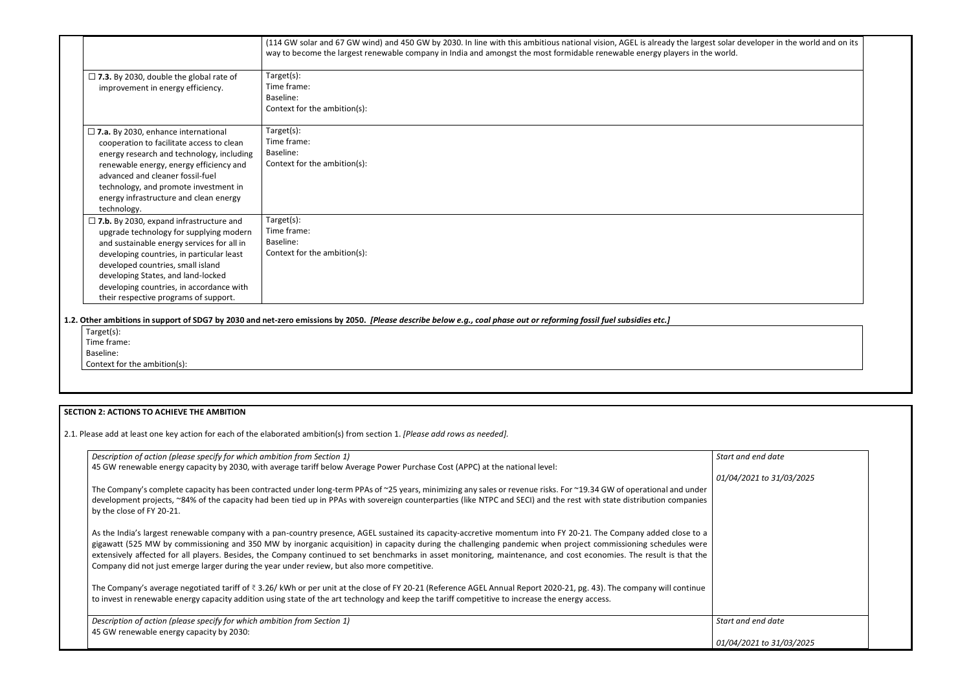|                                                                                                                                                                                                                                                                                                                                                      | (114 GW solar and 67 GW wind) and 450 GW by 2030. In line with this ambitious national vision, AGEL is already the largest solar developer in the world and on its<br>way to become the largest renewable company in India and amongst the most formidable renewable energy players in the world. |
|------------------------------------------------------------------------------------------------------------------------------------------------------------------------------------------------------------------------------------------------------------------------------------------------------------------------------------------------------|---------------------------------------------------------------------------------------------------------------------------------------------------------------------------------------------------------------------------------------------------------------------------------------------------|
| $\Box$ 7.3. By 2030, double the global rate of<br>improvement in energy efficiency.                                                                                                                                                                                                                                                                  | Target(s):<br>Time frame:<br>Baseline:<br>Context for the ambition(s):                                                                                                                                                                                                                            |
| $\square$ 7.a. By 2030, enhance international<br>cooperation to facilitate access to clean<br>energy research and technology, including<br>renewable energy, energy efficiency and<br>advanced and cleaner fossil-fuel<br>technology, and promote investment in<br>energy infrastructure and clean energy<br>technology.                             | Target(s):<br>Time frame:<br>Baseline:<br>Context for the ambition(s):                                                                                                                                                                                                                            |
| $\Box$ 7.b. By 2030, expand infrastructure and<br>upgrade technology for supplying modern<br>and sustainable energy services for all in<br>developing countries, in particular least<br>developed countries, small island<br>developing States, and land-locked<br>developing countries, in accordance with<br>their respective programs of support. | Target(s):<br>Time frame:<br>Baseline:<br>Context for the ambition(s):                                                                                                                                                                                                                            |

**1.2. Other ambitions in support of SDG7 by 2030 and net-zero emissions by 2050.** *[Please describe below e.g., coal phase out or reforming fossil fuel subsidies etc.]*

Target(s): Time frame: Baseline:

Context for the ambition(s):

# **SECTION 2: ACTIONS TO ACHIEVE THE AMBITION**

2.1. Please add at least one key action for each of the elaborated ambition(s) from section 1. *[Please add rows as needed].*

| Description of action (please specify for which ambition from Section 1)                                                                                                                                                                                                                                                                                                                                                                                                                                                                                                                               | Start        |
|--------------------------------------------------------------------------------------------------------------------------------------------------------------------------------------------------------------------------------------------------------------------------------------------------------------------------------------------------------------------------------------------------------------------------------------------------------------------------------------------------------------------------------------------------------------------------------------------------------|--------------|
| 45 GW renewable energy capacity by 2030, with average tariff below Average Power Purchase Cost (APPC) at the national level:                                                                                                                                                                                                                                                                                                                                                                                                                                                                           |              |
|                                                                                                                                                                                                                                                                                                                                                                                                                                                                                                                                                                                                        | 01/04        |
| The Company's complete capacity has been contracted under long-term PPAs of ~25 years, minimizing any sales or revenue risks. For ~19.34 GW of operational and under<br>development projects, ~84% of the capacity had been tied up in PPAs with sovereign counterparties (like NTPC and SECI) and the rest with state distribution companies<br>by the close of FY 20-21.                                                                                                                                                                                                                             |              |
| As the India's largest renewable company with a pan-country presence, AGEL sustained its capacity-accretive momentum into FY 20-21. The Company added close to a<br>gigawatt (525 MW by commissioning and 350 MW by inorganic acquisition) in capacity during the challenging pandemic when project commissioning schedules were<br>extensively affected for all players. Besides, the Company continued to set benchmarks in asset monitoring, maintenance, and cost economies. The result is that the<br>Company did not just emerge larger during the year under review, but also more competitive. |              |
| The Company's average negotiated tariff of ₹3.26/ kWh or per unit at the close of FY 20-21 (Reference AGEL Annual Report 2020-21, pg. 43). The company will continue<br>to invest in renewable energy capacity addition using state of the art technology and keep the tariff competitive to increase the energy access.                                                                                                                                                                                                                                                                               |              |
| Description of action (please specify for which ambition from Section 1)                                                                                                                                                                                                                                                                                                                                                                                                                                                                                                                               | <b>Start</b> |
| 45 GW renewable energy capacity by 2030:                                                                                                                                                                                                                                                                                                                                                                                                                                                                                                                                                               | 01/04        |
|                                                                                                                                                                                                                                                                                                                                                                                                                                                                                                                                                                                                        |              |

| solar developer in the world and on its<br>world. |  |
|---------------------------------------------------|--|
|                                                   |  |
|                                                   |  |
|                                                   |  |
|                                                   |  |
|                                                   |  |
|                                                   |  |
|                                                   |  |
|                                                   |  |
|                                                   |  |
|                                                   |  |
|                                                   |  |
|                                                   |  |
|                                                   |  |
| Start and end date                                |  |
| 01/04/2021 to 31/03/2025                          |  |
|                                                   |  |
|                                                   |  |
|                                                   |  |
|                                                   |  |
| Start and end date                                |  |
| 01/04/2021 to 31/03/2025                          |  |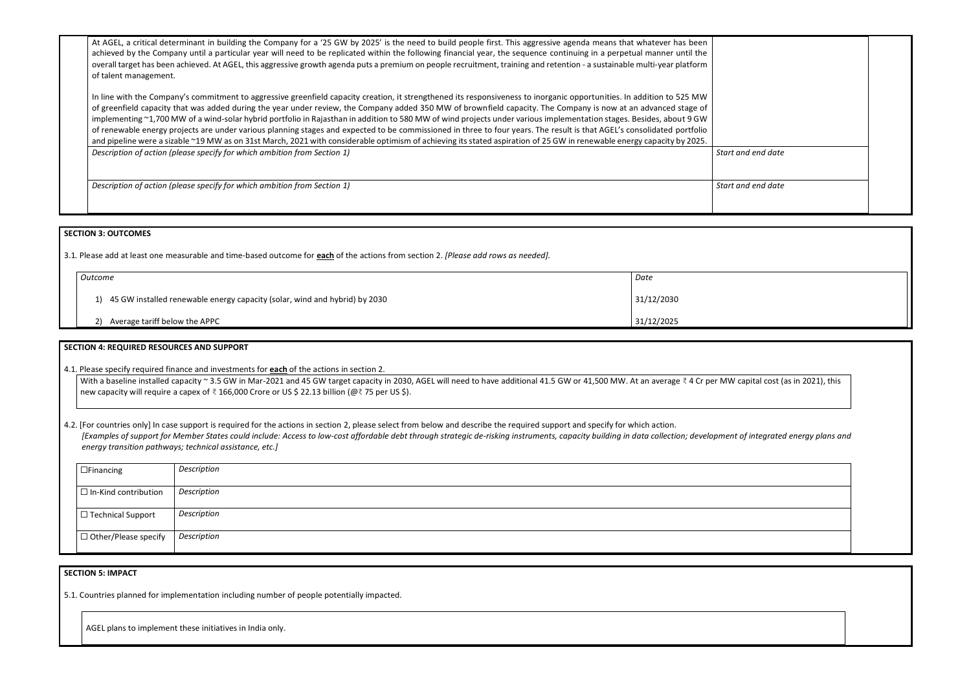At AGEL, a critical determinant in building the Company for a '25 GW by 2025' is the need to build people first. This aggressive agenda means that whatever has been achieved by the Company until a particular year will need to be replicated within the following financial year, the sequence continuing in a perpetual manner until the overall target has been achieved. At AGEL, this aggressive growth agenda puts a premium on people recruitment, training and retention - a sustainable multi-year platform of talent management.

In line with the Company's commitment to aggressive greenfield capacity creation, it strengthened its responsiveness to inorganic opportunities. In addition to 525 MW of greenfield capacity that was added during the year under review, the Company added 350 MW of brownfield capacity. The Company is now at an advanced stage of implementing ~1,700 MW of a wind-solar hybrid portfolio in Rajasthan in addition to 580 MW of wind projects under various implementation stages. Besides, about 9 GW of renewable energy projects are under various planning stages and expected to be commissioned in three to four years. The result is that AGEL's consolidated portfolio and pipeline were a sizable ~19 MW as on 31st March, 2021 with considerable optimism of achieving its stated aspiration of 25 GW in renewable energy capacity by 2025. *Description of action (please specify for which ambition from Section 1)* **Start and data and data and data and data and data and data and data and data and data and data and data and data and start and start and data and** 

*Description of action (please specify for which ambition from Section 1)*  $\left| \right|$  *Start and date and date and date and date and date and date and date and date and date and date and date and date and date and date and d* 

With a baseline installed capacity ~ 3.5 GW in Mar-2021 and 45 GW target capacity in 2030, AGEL will need to have additional 41.5 GW or 41,500 MW. At an average ₹ 4 Cr per MW new capacity will require a capex of ₹ 166,000 Crore or US \$ 22.13 billion (@₹ 75 per US \$).

4.2. [For countries only] In case support is required for the actions in section 2, please select from below and describe the required support and specify for which action. [Examples of support for Member States could include: Access to low-cost affordable debt through strategic de-risking instruments, capacity building in data collection; developmen *energy transition pathways; technical assistance, etc.]*

#### **SECTION 3: OUTCOMES**

3.1*.* Please add at least one measurable and time-based outcome for **each** of the actions from section 2. *[Please add rows as needed].*

| Outcome                                                                       | Date       |
|-------------------------------------------------------------------------------|------------|
| 1) 45 GW installed renewable energy capacity (solar, wind and hybrid) by 2030 | 31/12/2030 |
| Average tariff below the APPC                                                 | 31/12/2025 |
|                                                                               |            |

# **SECTION 4: REQUIRED RESOURCES AND SUPPORT**

4.1. Please specify required finance and investments for **each** of the actions in section 2.

| $\Box$ Financing            | Description |
|-----------------------------|-------------|
| $\Box$ In-Kind contribution | Description |
| $\Box$ Technical Support    | Description |
| $\Box$ Other/Please specify | Description |

# **SECTION 5: IMPACT**

5.1. Countries planned for implementation including number of people potentially impacted.

AGEL plans to implement these initiatives in India only.

| $:$ and end date                           |  |
|--------------------------------------------|--|
| and end date                               |  |
|                                            |  |
|                                            |  |
|                                            |  |
|                                            |  |
|                                            |  |
| $\sqrt{2}$ capital cost (as in 2021), this |  |
|                                            |  |
| t of integrated energy plans and           |  |
|                                            |  |
|                                            |  |
|                                            |  |
|                                            |  |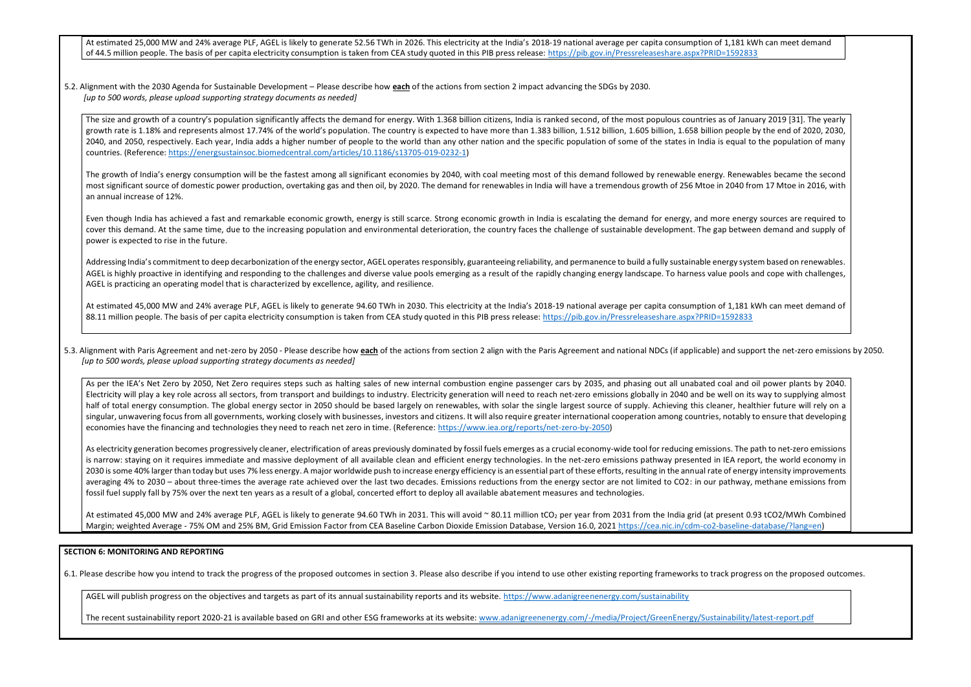At estimated 25,000 MW and 24% average PLF, AGEL is likely to generate 52.56 TWh in 2026. This electricity at the India's 2018-19 national average per capita consumption of 1, of 44.5 million people. The basis of per capita electricity consumption is taken from CEA study quoted in this PIB press release: https://pib.gov.in/Pressreleaseshare.aspx?PRID=1

5.2. Alignment with the 2030 Agenda for Sustainable Development – Please describe how **each** of the actions from section 2 impact advancing the SDGs by 2030. *[up to 500 words, please upload supporting strategy documents as needed]* 

The size and growth of a country's population significantly affects the demand for energy. With 1.368 billion citizens, India is ranked second, of the most populous countries as c growth rate is 1.18% and represents almost 17.74% of the world's population. The country is expected to have more than 1.383 billion, 1.512 billion, 1.605 billion, 1.658 billion, 1.658 billion pe 2040, and 2050, respectively. Each year, India adds a higher number of people to the world than any other nation and the specific population of some of the states in India is equal to the states in India is equal to the po countries. (Reference: [https://energsustainsoc.biomedcentral.com/articles/10.1186/s13705-019-0232-1\)](https://energsustainsoc.biomedcentral.com/articles/10.1186/s13705-019-0232-1)

The growth of India's energy consumption will be the fastest among all significant economies by 2040, with coal meeting most of this demand followed by renewable energy. Repremently and second the second of the second of t most significant source of domestic power production, overtaking gas and then oil, by 2020. The demand for renewables in India will have a tremendous growth of 256 Mtoe in 20 an annual increase of 12%.

Even though India has achieved a fast and remarkable economic growth, energy is still scarce. Strong economic growth in India is escalating the demand for energy, and more cover this demand. At the same time, due to the increasing population and environmental deterioration, the country faces the challenge of sustainable development. The gap b power is expected to rise in the future.

Addressing India's commitment to deep decarbonization of the energy sector, AGEL operates responsibly, guaranteeing reliability, and permanence to build a fully sustainable energ AGEL is highly proactive in identifying and responding to the challenges and diverse value pools emerging as a result of the rapidly changing energy landscape. To harness value pools AGEL is practicing an operating model that is characterized by excellence, agility, and resilience.

At estimated 45,000 MW and 24% average PLF, AGEL is likely to generate 94.60 TWh in 2030. This electricity at the India's 2018-19 national average per capita consumption of 1 88.11 million people. The basis of per capita electricity consumption is taken from CEA study quoted in this PIB press release:<https://pib.gov.in/Pressreleaseshare.aspx?PRID=1592833>

5.3. Alignment with Paris Agreement and net-zero by 2050 - Please describe how each of the actions from section 2 align with the Paris Agreement and national NDCs (if applicable) and *[up to 500 words, please upload supporting strategy documents as needed]* 

As per the IEA's Net Zero by 2050, Net Zero requires steps such as halting sales of new internal combustion engine passenger cars by 2035, and phasing out all unabated coal Electricity will play a key role across all sectors, from transport and buildings to industry. Electricity generation will need to reach net-zero emissions globally in 2040 and be well half of total energy consumption. The global energy sector in 2050 should be based largely on renewables, with solar the single largest source of supply. Achieving this cleaner singular, unwavering focus from all governments, working closely with businesses, investors and citizens. It will also require greater international cooperation among countries, no economies have the financing and technologies they need to reach net zero in time. (Reference: [https://www.iea.org/reports/net-zero-by-2050\)](https://www.iea.org/reports/net-zero-by-2050)

As electricity generation becomes progressively cleaner, electrification of areas previously dominated by fossil fuels emerges as a crucial economy-wide tool for reducing emissions. is narrow: staying on it requires immediate and massive deployment of all available clean and efficient energy technologies. In the net-zero emissions pathway presented in IEA 2030 is some 40% larger than today but uses 7% less energy. A major worldwide push to increase energy efficiency is an essential part of these efforts, resulting in the annual rate of averaging 4% to 2030 – about three-times the average rate achieved over the last two decades. Emissions reductions from the energy sector are not limited to CO2: in our pathway, are not limited to CO2: in our pathway, fossil fuel supply fall by 75% over the next ten years as a result of a global, concerted effort to deploy all available abatement measures and technologies.

At estimated 45,000 MW and 24% average PLF, AGEL is likely to generate 94.60 TWh in 2031. This will avoid ~ 80.11 million tCO<sub>2</sub> per year from 2031 from the India grid (at pres Margin; weighted Average - 75% OM and 25% BM, Grid Emission Factor from CEA Baseline Carbon Dioxide Emission Database, Version 16.0, 2021 [https://cea.nic.in/cdm-co2-baseline-database/?lang=en\)](https://cea.nic.in/cdm-co2-baseline-database/?lang=en)

#### **SECTION 6: MONITORING AND REPORTING**

6.1. Please describe how you intend to track the progress of the proposed outcomes in section 3. Please also describe if you intend to use other existing reporting frameworks to track progress on the proposed outcomes.

AGEL will publish progress on the objectives and targets as part of its annual sustainability reports and its website.<https://www.adanigreenenergy.com/sustainability>

The recent sustainability report 2020-21 is available based on GRI and other ESG frameworks at its website: [www.adanigreenenergy.com/-/media/Project/GreenEnergy/Sustainability/latest-report.pdf](http://www.adanigreenenergy.com/-/media/Project/GreenEnergy/Sustainability/latest-report.pdf)

| 181 kWh can meet demand<br>592833                                                                                                          |
|--------------------------------------------------------------------------------------------------------------------------------------------|
|                                                                                                                                            |
|                                                                                                                                            |
| of January 2019 [31]. The yearly<br>eople by the end of 2020, 2030,<br>qual to the population of many                                      |
| enewables became the second<br>040 from 17 Mtoe in 2016, with                                                                              |
| energy sources are required to<br>between demand and supply of                                                                             |
| gy system based on renewables.<br>pools and cope with challenges,                                                                          |
| ,181 kWh can meet demand of<br>92833                                                                                                       |
| d support the net-zero emissions by 2050.                                                                                                  |
| and oil power plants by 2040.<br>l on its way to supplying almost<br>r, healthier future will rely on a<br>tably to ensure that developing |
| . The path to net-zero emissions<br>A report, the world economy in<br>energy intensity improvements<br>hway, methane emissions from        |
| ent 0.93 tCO2/MWh Combined                                                                                                                 |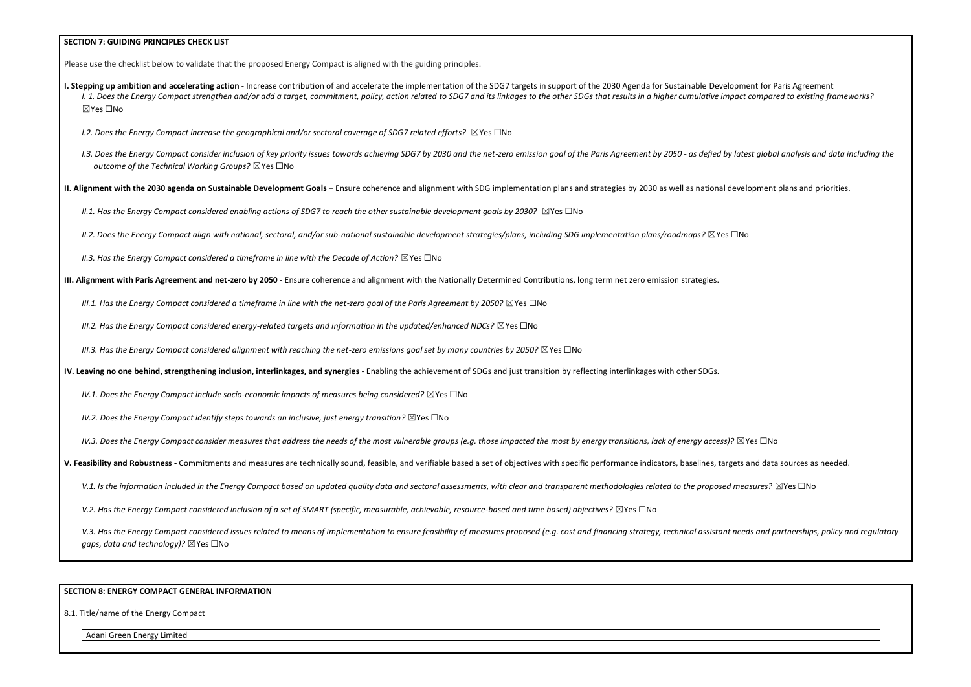#### **SECTION 7: GUIDING PRINCIPLES CHECK LIST**

Please use the checklist below to validate that the proposed Energy Compact is aligned with the guiding principles.

- **I. Stepping up ambition and accelerating action** Increase contribution of and accelerate the implementation of the SDG7 targets in support of the 2030 Agenda for Sustainable Development for Paris Agreement I. 1. Does the Energy Compact strengthen and/or add a target, commitment, policy, action related to SDG7 and its linkages to the other SDGs that results in a higher cumulative impact compared to existing frameworks? ☒Yes ☐No
	- *I.2. Does the Energy Compact increase the geographical and/or sectoral coverage of SDG7 related efforts?* ⊠Yes □No
	- I.3. Does the Energy Compact consider inclusion of key priority issues towards achieving SDG7 by 2030 and the net-zero emission goal of the Paris Agreement by 2050 as defied by latest global analysis and data including t *outcome of the Technical Working Groups?* ☒Yes ☐No

**II. Alignment with the 2030 agenda on Sustainable Development Goals** – Ensure coherence and alignment with SDG implementation plans and strategies by 2030 as well as national development plans and priorities.

*II.1. Has the Energy Compact considered enabling actions of SDG7 to reach the other sustainable development goals by 2030?* ⊠Yes □No

*II.2. Does the Energy Compact align with national, sectoral, and/or sub-national sustainable development strategies/plans, including SDG implementation plans/roadmaps?* ☒Yes ☐No

*II.3. Has the Energy Compact considered a timeframe in line with the Decade of Action?* ⊠Yes □No

**III. Alignment with Paris Agreement and net-zero by 2050** - Ensure coherence and alignment with the Nationally Determined Contributions, long term net zero emission strategies.

*III.1. Has the Energy Compact considered a timeframe in line with the net-zero goal of the Paris Agreement by 2050?* ⊠Yes □No

*III.2. Has the Energy Compact considered energy-related targets and information in the updated/enhanced NDCs?* ⊠Yes □No

*III.3. Has the Energy Compact considered alignment with reaching the net-zero emissions goal set by many countries by 2050?* ⊠Yes □No

**IV. Leaving no one behind, strengthening inclusion, interlinkages, and synergies** - Enabling the achievement of SDGs and just transition by reflecting interlinkages with other SDGs.

*IV.1. Does the Energy Compact include socio-economic impacts of measures being considered?* ⊠Yes □No

*IV.2. Does the Energy Compact identify steps towards an inclusive, just energy transition?* ⊠Yes □No

*IV.3. Does the Energy Compact consider measures that address the needs of the most vulnerable groups (e.g. those impacted the most by energy transitions, lack of energy access)?* ⊠Yes □No

**V. Feasibility and Robustness -** Commitments and measures are technically sound, feasible, and verifiable based a set of objectives with specific performance indicators, baselines, targets and data sources as needed.

V.1. Is the information included in the Energy Compact based on updated quality data and sectoral assessments, with clear and transparent methodologies related to the proposed measures? ⊠Yes □No

*V.2. Has the Energy Compact considered inclusion of a set of SMART (specific, measurable, achievable, resource-based and time based) objectives?* ⊠Yes □No

V.3. Has the Energy Compact considered issues related to means of implementation to ensure feasibility of measures proposed (e.g. cost and financing strategy, technical assistant needs and partnerships, policy and regulato *gaps, data and technology*)? ⊠Yes □No

#### **SECTION 8: ENERGY COMPACT GENERAL INFORMATION**

8.1. Title/name of the Energy Compact

Adani Green Energy Limited